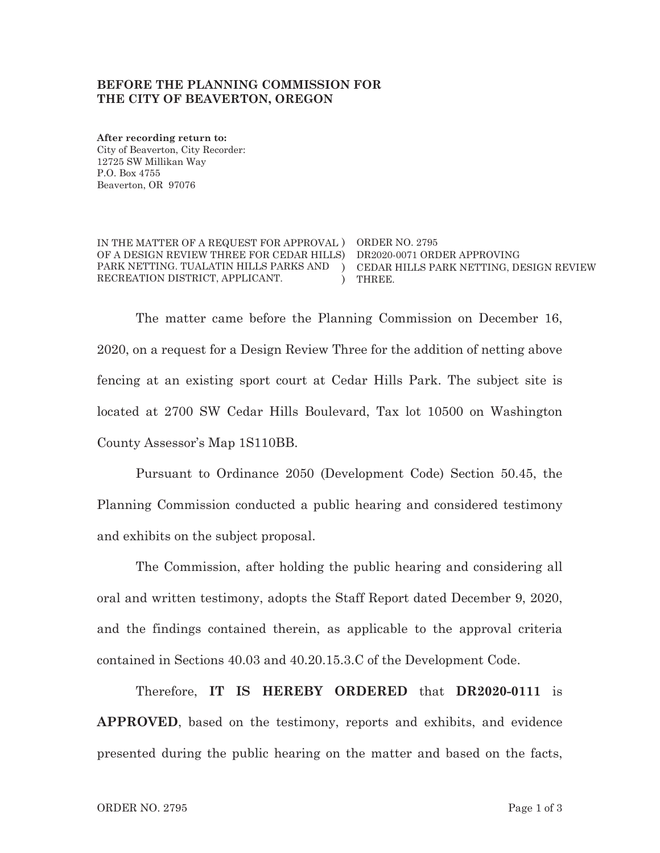#### **BEFORE THE PLANNING COMMISSION FOR THE CITY OF BEAVERTON, OREGON**

**After recording return to:**  City of Beaverton, City Recorder: 12725 SW Millikan Way P.O. Box 4755 Beaverton, OR 97076

IN THE MATTER OF A REQUEST FOR APPROVAL ) ORDER NO. 2795 OF A DESIGN REVIEW THREE FOR CEDAR HILLS) DR2020-0071 ORDER APPROVING PARK NETTING. TUALATIN HILLS PARKS AND ) CEDAR HILLS PARK NETTING, DESIGN REVIEW RECREATION DISTRICT, APPLICANT. ) THREE.

The matter came before the Planning Commission on December 16, 2020, on a request for a Design Review Three for the addition of netting above fencing at an existing sport court at Cedar Hills Park. The subject site is located at 2700 SW Cedar Hills Boulevard, Tax lot 10500 on Washington County Assessor's Map 1S110BB.

Pursuant to Ordinance 2050 (Development Code) Section 50.45, the Planning Commission conducted a public hearing and considered testimony and exhibits on the subject proposal.

The Commission, after holding the public hearing and considering all oral and written testimony, adopts the Staff Report dated December 9, 2020, and the findings contained therein, as applicable to the approval criteria contained in Sections 40.03 and 40.20.15.3.C of the Development Code.

Therefore, **IT IS HEREBY ORDERED** that **DR2020-0111** is **APPROVED**, based on the testimony, reports and exhibits, and evidence presented during the public hearing on the matter and based on the facts,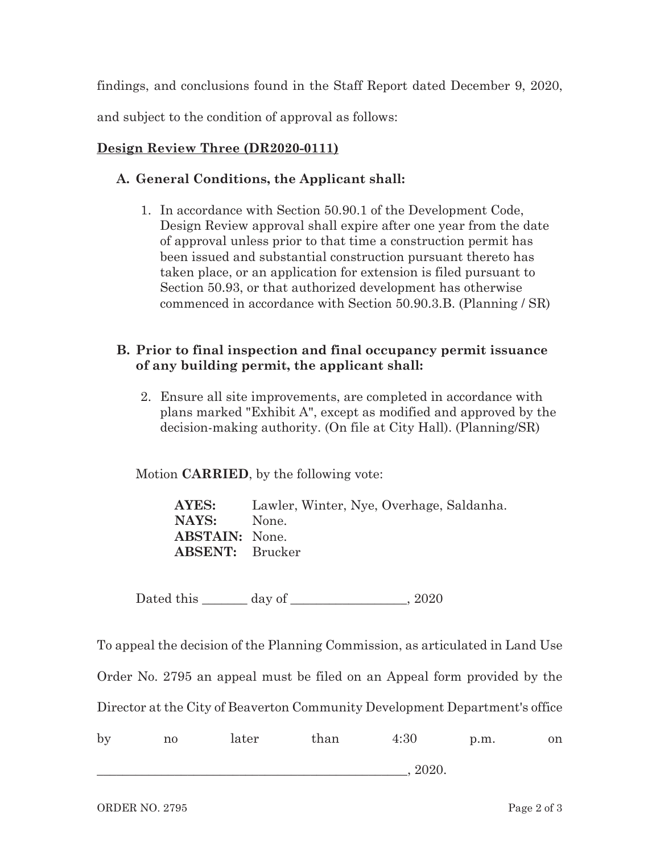findings, and conclusions found in the Staff Report dated December 9, 2020, and subject to the condition of approval as follows:

# **Design Review Three (DR2020-0111)**

# **A. General Conditions, the Applicant shall:**

1. In accordance with Section 50.90.1 of the Development Code, Design Review approval shall expire after one year from the date of approval unless prior to that time a construction permit has been issued and substantial construction pursuant thereto has taken place, or an application for extension is filed pursuant to Section 50.93, or that authorized development has otherwise commenced in accordance with Section 50.90.3.B. (Planning / SR)

# **B. Prior to final inspection and final occupancy permit issuance of any building permit, the applicant shall:**

2. Ensure all site improvements, are completed in accordance with plans marked "Exhibit A", except as modified and approved by the decision-making authority. (On file at City Hall). (Planning/SR)

Motion **CARRIED**, by the following vote:

**AYES:** Lawler, Winter, Nye, Overhage, Saldanha. **NAYS:** None. **ABSTAIN:** None. **ABSENT:** Brucker

Dated this day of  $\qquad \qquad$  2020

To appeal the decision of the Planning Commission, as articulated in Land Use

Order No. 2795 an appeal must be filed on an Appeal form provided by the

Director at the City of Beaverton Community Development Department's office

| by | no | later | than | 4:30  | p.m. | on |
|----|----|-------|------|-------|------|----|
|    |    |       |      | 2020. |      |    |